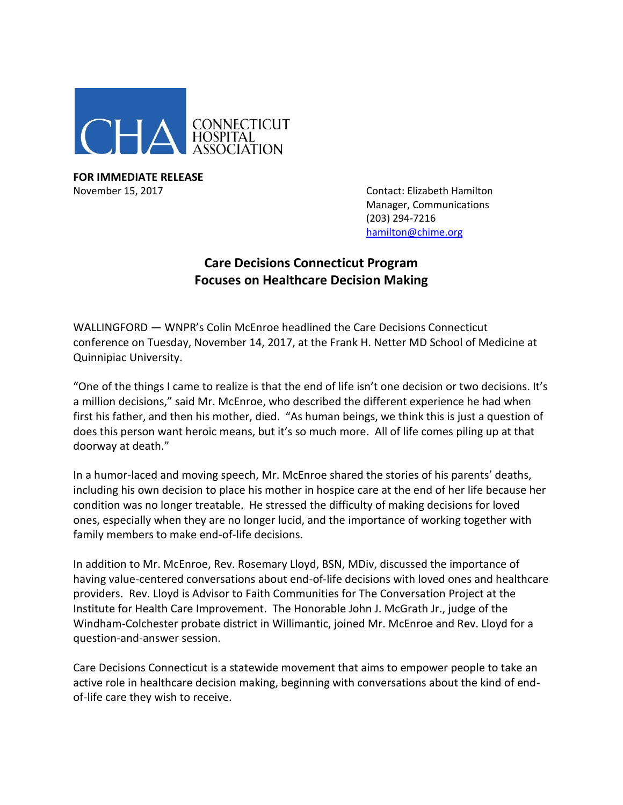

**FOR IMMEDIATE RELEASE** November 15, 2017 **November 15, 2017** Contact: Elizabeth Hamilton

Manager, Communications (203) 294-7216 [hamilton@chime.org](mailto:hamilton@chime.org)

## **Care Decisions Connecticut Program Focuses on Healthcare Decision Making**

WALLINGFORD — WNPR's Colin McEnroe headlined the Care Decisions Connecticut conference on Tuesday, November 14, 2017, at the Frank H. Netter MD School of Medicine at Quinnipiac University.

"One of the things I came to realize is that the end of life isn't one decision or two decisions. It's a million decisions," said Mr. McEnroe, who described the different experience he had when first his father, and then his mother, died. "As human beings, we think this is just a question of does this person want heroic means, but it's so much more. All of life comes piling up at that doorway at death."

In a humor-laced and moving speech, Mr. McEnroe shared the stories of his parents' deaths, including his own decision to place his mother in hospice care at the end of her life because her condition was no longer treatable. He stressed the difficulty of making decisions for loved ones, especially when they are no longer lucid, and the importance of working together with family members to make end-of-life decisions.

In addition to Mr. McEnroe, Rev. Rosemary Lloyd, BSN, MDiv, discussed the importance of having value-centered conversations about end-of-life decisions with loved ones and healthcare providers. Rev. Lloyd is Advisor to Faith Communities for The Conversation Project at the Institute for Health Care Improvement. The Honorable John J. McGrath Jr., judge of the Windham-Colchester probate district in Willimantic, joined Mr. McEnroe and Rev. Lloyd for a question-and-answer session.

Care Decisions Connecticut is a statewide movement that aims to empower people to take an active role in healthcare decision making, beginning with conversations about the kind of endof-life care they wish to receive.